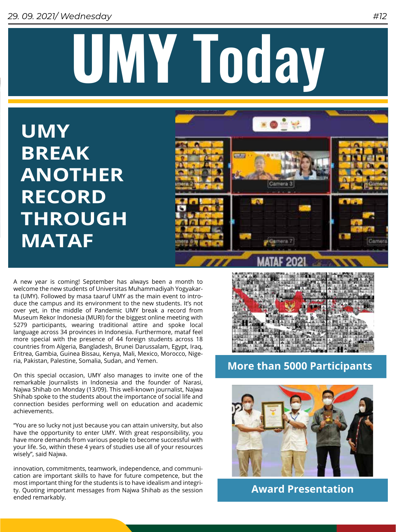# **UMY** Today

**UMY BREAK ANOTHER RECORD THROUGH MATAF** 



A new year is coming! September has always been a month to welcome the new students of Universitas Muhammadiyah Yogyakarta (UMY). Followed by masa taaruf UMY as the main event to introduce the campus and its environment to the new students. It's not over yet, in the middle of Pandemic UMY break a record from Museum Rekor Indonesia (MURI) for the biggest online meeting with 5279 participants, wearing traditional attire and spoke local language across 34 provinces in Indonesia. Furthermore, mataf feel more special with the presence of 44 foreign students across 18 countries from Algeria, Bangladesh, Brunei Darussalam, Egypt, Iraq, Eritrea, Gambia, Guinea Bissau, Kenya, Mali, Mexico, Morocco, Nigeria, Pakistan, Palestine, Somalia, Sudan, and Yemen.

On this special occasion, UMY also manages to invite one of the remarkable Journalists in Indonesia and the founder of Narasi, Najwa Shihab on Monday (13/09). This well-known journalist, Najwa Shihab spoke to the students about the importance of social life and connection besides performing well on education and academic achievements.

"You are so lucky not just because you can attain university, but also have the opportunity to enter UMY. With great responsibility, you have more demands from various people to become successful with your life. So, within these 4 years of studies use all of your resources wisely", said Najwa.

innovation, commitments, teamwork, independence, and communication are important skills to have for future competence, but the most important thing for the students is to have idealism and integrity. Quoting important messages from Najwa Shihab as the session ended remarkably.



**More than 5000 Participants**



**Award Presentation**